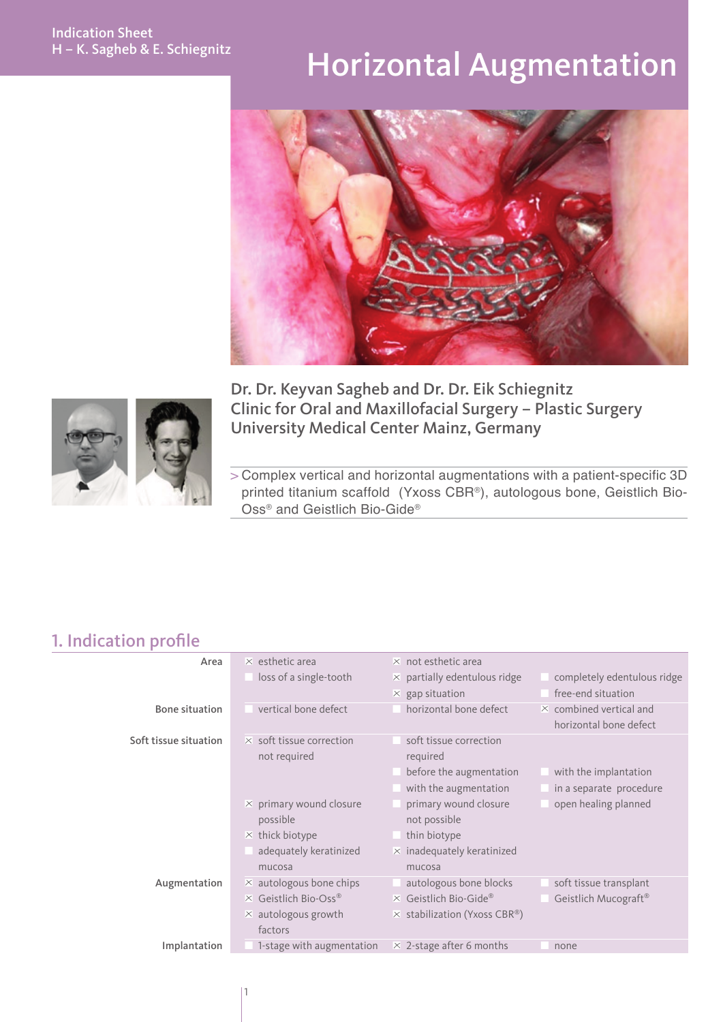# Horizontal Augmentation



Dr. Dr. Keyvan Sagheb and Dr. Dr. Eik Schiegnitz Clinic for Oral and Maxillofacial Surgery – Plastic Surgery University Medical Center Mainz, Germany

> Complex vertical and horizontal augmentations with a patient-specific 3D printed titanium scaffold (Yxoss CBR®), autologous bone, Geistlich Bio-Oss® and Geistlich Bio-Gide®

### 1. Indication profile

| Area                  | $\times$ esthetic area          | $\times$ not esthetic area          |                                |
|-----------------------|---------------------------------|-------------------------------------|--------------------------------|
|                       | loss of a single-tooth          | $\times$ partially edentulous ridge | completely edentulous ridge    |
|                       |                                 | $\times$ gap situation              | free-end situation             |
| <b>Bone situation</b> | vertical bone defect            | horizontal bone defect              | $\times$ combined vertical and |
|                       |                                 |                                     | horizontal bone defect         |
| Soft tissue situation | $\times$ soft tissue correction | soft tissue correction              |                                |
|                       | not required                    | required                            |                                |
|                       |                                 | before the augmentation             | with the implantation          |
|                       |                                 | with the augmentation               | in a separate procedure        |
|                       | $\times$ primary wound closure  | primary wound closure               | open healing planned           |
|                       | possible                        | not possible                        |                                |
|                       | $\times$ thick biotype          | thin biotype                        |                                |
|                       | adequately keratinized          | $\times$ inadequately keratinized   |                                |
|                       | mucosa                          | mucosa                              |                                |
| Augmentation          | $\times$ autologous bone chips  | autologous bone blocks              | soft tissue transplant         |
|                       | $\times$ Geistlich Bio-Oss®     | $\times$ Geistlich Bio-Gide®        | Geistlich Mucograft®           |
|                       | $\times$ autologous growth      | $\times$ stabilization (Yxoss CBR®) |                                |
|                       | factors                         |                                     |                                |
| Implantation          | 1-stage with augmentation       | $\times$ 2-stage after 6 months     | none                           |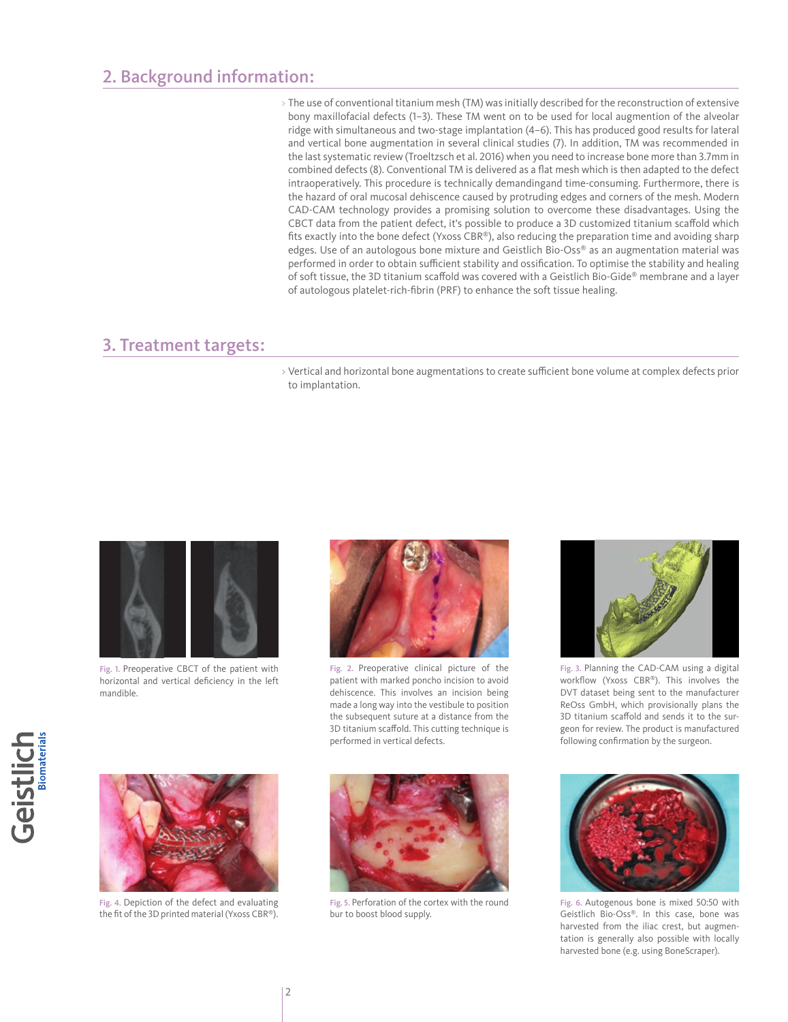#### 2. Background information:

> The use of conventional titanium mesh (TM) was initially described for the reconstruction of extensive bony maxillofacial defects (1–3). These TM went on to be used for local augmention of the alveolar ridge with simultaneous and two-stage implantation (4–6). This has produced good results for lateral and vertical bone augmentation in several clinical studies (7). In addition, TM was recommended in the last systematic review (Troeltzsch et al. 2016) when you need to increase bone more than 3.7mm in combined defects (8). Conventional TM is delivered as a flat mesh which is then adapted to the defect intraoperatively. This procedure is technically demandingand time-consuming. Furthermore, there is the hazard of oral mucosal dehiscence caused by protruding edges and corners of the mesh. Modern CAD-CAM technology provides a promising solution to overcome these disadvantages. Using the CBCT data from the patient defect, it's possible to produce a 3D customized titanium scaffold which fits exactly into the bone defect (Yxoss CBR®), also reducing the preparation time and avoiding sharp edges. Use of an autologous bone mixture and Geistlich Bio-Oss® as an augmentation material was performed in order to obtain sufficient stability and ossification. To optimise the stability and healing of soft tissue, the 3D titanium scaffold was covered with a Geistlich Bio-Gide® membrane and a layer of autologous platelet-rich-fibrin (PRF) to enhance the soft tissue healing.

#### 3. Treatment targets :

> Vertical and horizontal bone augmentations to create sufficient bone volume at complex defects prior to implantation.



Fig. 1. Preoperative CBCT of the patient with horizontal and vertical deficiency in the left mandible.



Fig. 2. Preoperative clinical picture of the patient with marked poncho incision to avoid dehiscence. This involves an incision being made a long way into the vestibule to position the subsequent suture at a distance from the 3D titanium scaffold. This cutting technique is performed in vertical defects.



Fig. 3. Planning the CAD-CAM using a digital workflow (Yxoss CBR®). This involves the DVT dataset being sent to the manufacturer ReOss GmbH, which provisionally plans the 3D titanium scaffold and sends it to the surgeon for review. The product is manufactured following confirmation by the surgeon.



Fig. 6. Autogenous bone is mixed 50:50 with Geistlich Bio-Oss®. In this case, bone was harvested from the iliac crest, but augmentation is generally also possible with locally harvested bone (e.g. using BoneScraper).





Fig. 4. Depiction of the defect and evaluating the fit of the 3D printed material (Yxoss CBR®).



Fig. 5. Perforation of the cortex with the round bur to boost blood supply.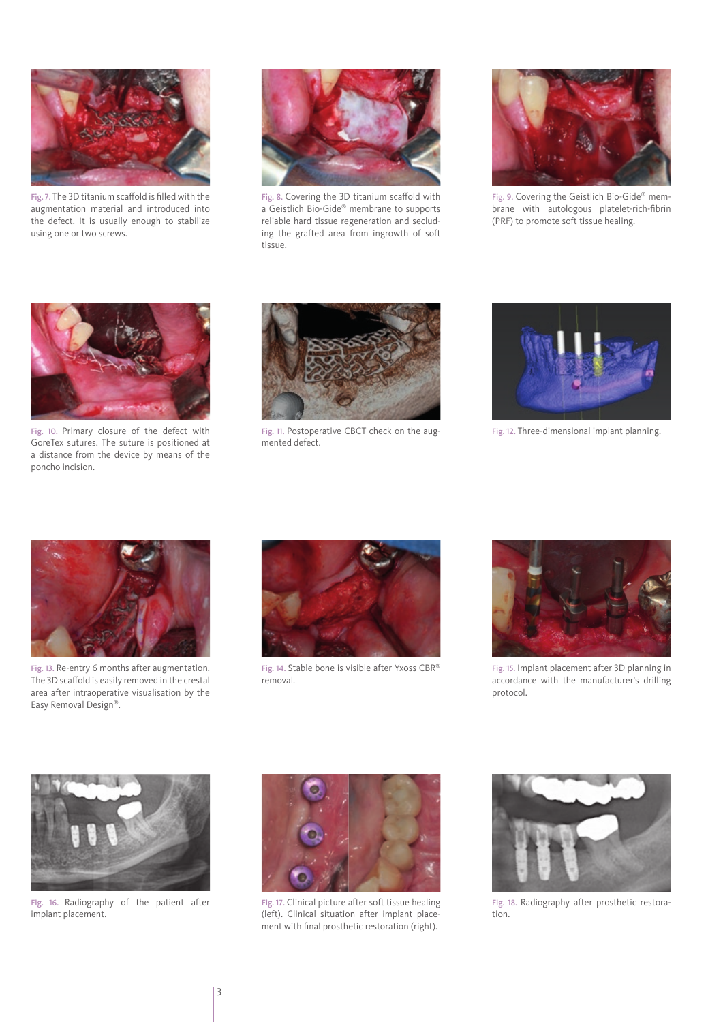

Fig. 7. The 3D titanium scaffold is filled with the augmentation material and introduced into the defect. It is usually enough to stabilize using one or two screws.



Fig. 8. Covering the 3D titanium scaffold with a Geistlich Bio-Gide® membrane to supports reliable hard tissue regeneration and secluding the grafted area from ingrowth of soft tissue.



Fig. 9. Covering the Geistlich Bio-Gide® membrane with autologous platelet-rich-fibrin (PRF) to promote soft tissue healing.



Fig. 10. Primary closure of the defect with GoreTex sutures. The suture is positioned at a distance from the device by means of the poncho incision.



Fig. 11. Postoperative CBCT check on the augmented defect.



Fig. 12. Three-dimensional implant planning.



Fig. 13. Re-entry 6 months after augmentation. The 3D scaffold is easily removed in the crestal area after intraoperative visualisation by the Easy Removal Design®.



Fig. 14. Stable bone is visible after Yxoss CBR® removal.



Fig. 15. Implant placement after 3D planning in accordance with the manufacturer's drilling protocol.



Fig. 16. Radiography of the patient after implant placement.



Fig. 17. Clinical picture after soft tissue healing (left). Clinical situation after implant placement with final prosthetic restoration (right).



Fig. 18. Radiography after prosthetic restoration.